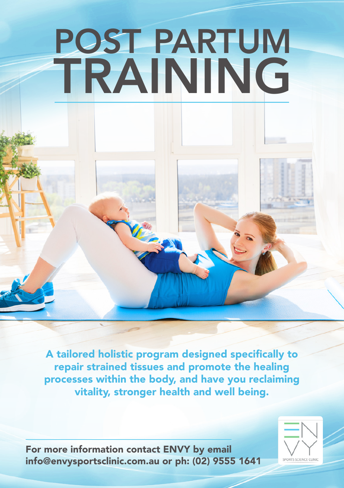# POST PARTUM TRAINING

A tailored holistic program designed specifically to repair strained tissues and promote the healing processes within the body, and have you reclaiming vitality, stronger health and well being.

For more information contact ENVY by email info@envysportsclinic.com.au or ph: (02) 9555 1641